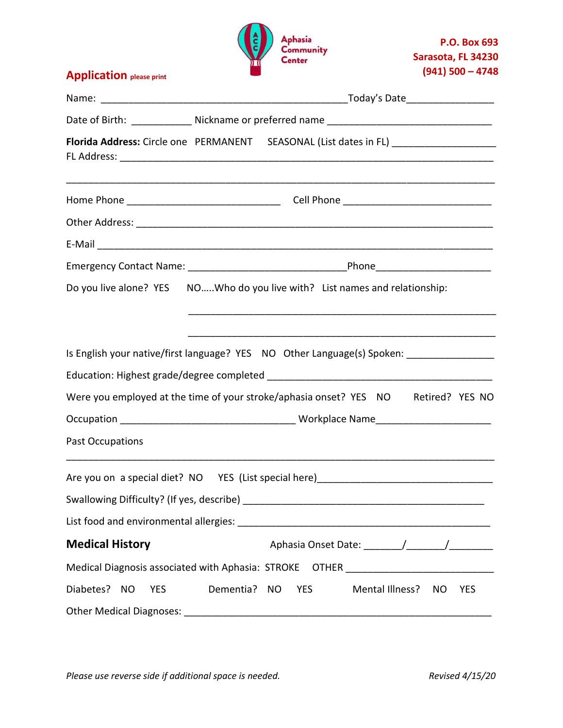

**Application please print**

|                            | Date of Birth: _____________ Nickname or preferred name _______________________________      |  |  |
|----------------------------|----------------------------------------------------------------------------------------------|--|--|
|                            | Florida Address: Circle one PERMANENT SEASONAL (List dates in FL) _______________            |  |  |
|                            |                                                                                              |  |  |
|                            |                                                                                              |  |  |
|                            |                                                                                              |  |  |
|                            |                                                                                              |  |  |
|                            | Do you live alone? YES NOWho do you live with? List names and relationship:                  |  |  |
|                            | Is English your native/first language? YES NO Other Language(s) Spoken: ____________________ |  |  |
|                            | Were you employed at the time of your stroke/aphasia onset? YES NO Retired? YES NO           |  |  |
|                            |                                                                                              |  |  |
| Past Occupations           |                                                                                              |  |  |
|                            | Are you on a special diet? NO YES (List special here) ___________________________            |  |  |
| <b>Medical History</b>     |                                                                                              |  |  |
|                            | Medical Diagnosis associated with Aphasia: STROKE OTHER ________________________             |  |  |
| Diabetes? NO<br><b>YES</b> | Dementia? NO<br>Mental Illness? NO<br><b>YES</b><br><b>YES</b>                               |  |  |
|                            |                                                                                              |  |  |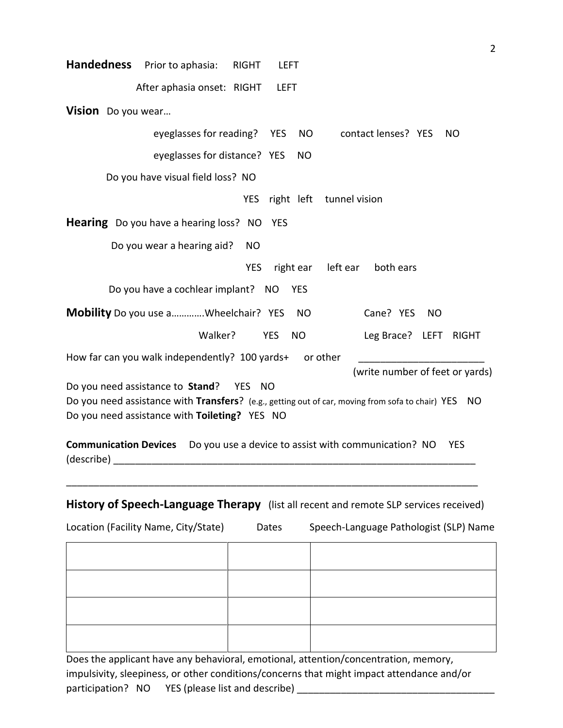| <b>Handedness</b>                                                                     | Prior to aphasia:                                                                                                                                                                                                                                                                                                   | <b>RIGHT</b> | <b>LEFT</b> |           |                          |                                 |           |              |
|---------------------------------------------------------------------------------------|---------------------------------------------------------------------------------------------------------------------------------------------------------------------------------------------------------------------------------------------------------------------------------------------------------------------|--------------|-------------|-----------|--------------------------|---------------------------------|-----------|--------------|
|                                                                                       | After aphasia onset: RIGHT                                                                                                                                                                                                                                                                                          |              | <b>LEFT</b> |           |                          |                                 |           |              |
| Vision Do you wear                                                                    |                                                                                                                                                                                                                                                                                                                     |              |             |           |                          |                                 |           |              |
|                                                                                       | eyeglasses for reading?                                                                                                                                                                                                                                                                                             |              | <b>YES</b>  | <b>NO</b> |                          | contact lenses? YES             |           | <b>NO</b>    |
|                                                                                       | eyeglasses for distance? YES                                                                                                                                                                                                                                                                                        |              |             | <b>NO</b> |                          |                                 |           |              |
|                                                                                       | Do you have visual field loss? NO                                                                                                                                                                                                                                                                                   |              |             |           |                          |                                 |           |              |
|                                                                                       |                                                                                                                                                                                                                                                                                                                     | <b>YES</b>   |             |           | right left tunnel vision |                                 |           |              |
|                                                                                       | <b>Hearing</b> Do you have a hearing loss? NO                                                                                                                                                                                                                                                                       |              | <b>YES</b>  |           |                          |                                 |           |              |
|                                                                                       | Do you wear a hearing aid?                                                                                                                                                                                                                                                                                          | <b>NO</b>    |             |           |                          |                                 |           |              |
|                                                                                       |                                                                                                                                                                                                                                                                                                                     | <b>YES</b>   | right ear   |           | left ear                 | both ears                       |           |              |
|                                                                                       | Do you have a cochlear implant? NO YES                                                                                                                                                                                                                                                                              |              |             |           |                          |                                 |           |              |
|                                                                                       | <b>Mobility</b> Do you use aWheelchair? YES                                                                                                                                                                                                                                                                         |              |             | <b>NO</b> |                          | Cane? YES                       | <b>NO</b> |              |
|                                                                                       | Walker?                                                                                                                                                                                                                                                                                                             |              | <b>YES</b>  | <b>NO</b> |                          | Leg Brace? LEFT                 |           | <b>RIGHT</b> |
|                                                                                       | How far can you walk independently? 100 yards+ or other                                                                                                                                                                                                                                                             |              |             |           |                          |                                 |           |              |
|                                                                                       |                                                                                                                                                                                                                                                                                                                     |              |             |           |                          | (write number of feet or yards) |           |              |
| Do you need assistance to Stand?                                                      |                                                                                                                                                                                                                                                                                                                     | YES NO       |             |           |                          |                                 |           |              |
|                                                                                       | Do you need assistance with Transfers? (e.g., getting out of car, moving from sofa to chair) YES NO<br>Do you need assistance with Toileting? YES NO                                                                                                                                                                |              |             |           |                          |                                 |           |              |
|                                                                                       |                                                                                                                                                                                                                                                                                                                     |              |             |           |                          |                                 |           |              |
|                                                                                       | <b>Communication Devices</b> Do you use a device to assist with communication? NO<br>(describe) and the contract of the contract of the contract of the contract of the contract of the contract of the contract of the contract of the contract of the contract of the contract of the contract of the contract of |              |             |           |                          |                                 |           | <b>YES</b>   |
|                                                                                       |                                                                                                                                                                                                                                                                                                                     |              |             |           |                          |                                 |           |              |
| History of Speech-Language Therapy (list all recent and remote SLP services received) |                                                                                                                                                                                                                                                                                                                     |              |             |           |                          |                                 |           |              |

| Location (Facility Name, City/State) | Dates | Speech-Language Pathologist (SLP) Name |
|--------------------------------------|-------|----------------------------------------|
|--------------------------------------|-------|----------------------------------------|

Does the applicant have any behavioral, emotional, attention/concentration, memory, impulsivity, sleepiness, or other conditions/concerns that might impact attendance and/or participation? NO YES (please list and describe) \_\_\_\_\_\_\_\_\_\_\_\_\_\_\_\_\_\_\_\_\_\_\_\_\_\_\_\_\_\_\_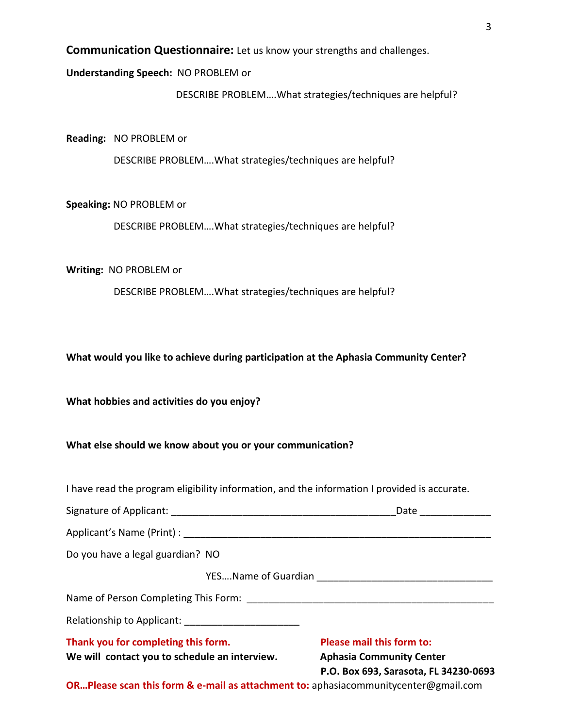**Communication Questionnaire:** Let us know your strengths and challenges.

#### **Understanding Speech:** NO PROBLEM or

DESCRIBE PROBLEM….What strategies/techniques are helpful?

**Reading:** NO PROBLEM or

DESCRIBE PROBLEM….What strategies/techniques are helpful?

**Speaking:** NO PROBLEM or

DESCRIBE PROBLEM….What strategies/techniques are helpful?

**Writing:** NO PROBLEM or

DESCRIBE PROBLEM….What strategies/techniques are helpful?

**What would you like to achieve during participation at the Aphasia Community Center?**

**What hobbies and activities do you enjoy?**

**What else should we know about you or your communication?** 

I have read the program eligibility information, and the information I provided is accurate.

| Signature of Applicant: | Date |
|-------------------------|------|
|                         |      |

Applicant's Name (Print) : \_\_\_\_\_\_\_\_\_\_\_\_\_\_\_\_\_\_\_\_\_\_\_\_\_\_\_\_\_\_\_\_\_\_\_\_\_\_\_\_\_\_\_\_\_\_\_\_\_\_\_\_\_\_\_\_

Do you have a legal guardian? NO

YES....Name of Guardian **Example 20** 

Name of Person Completing This Form: \_\_\_\_\_\_\_\_\_\_\_\_\_\_\_\_\_\_\_\_\_\_\_\_\_\_\_\_\_\_\_\_\_\_\_\_\_\_\_\_\_\_\_\_\_

Relationship to Applicant:

**Thank you for completing this form. Please mail this form to:**

We will contact you to schedule an interview. Aphasia Community Center

 **P.O. Box 693, Sarasota, FL 34230-0693**

**OR…Please scan this form & e-mail as attachment to:** aphasiacommunitycenter@gmail.com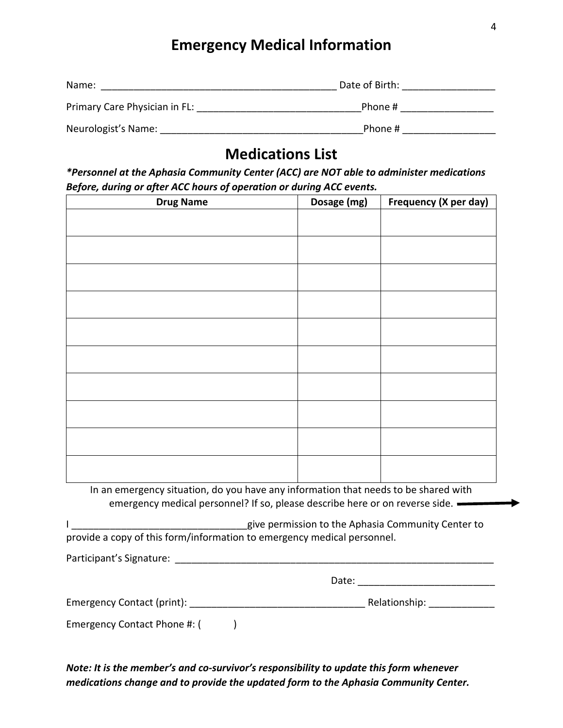## **Emergency Medical Information**

| Name:                         | Date of Birth: |  |
|-------------------------------|----------------|--|
| Primary Care Physician in FL: | Phone #        |  |
| Neurologist's Name:           | Phone #        |  |

# **Medications List**

*\*Personnel at the Aphasia Community Center (ACC) are NOT able to administer medications Before, during or after ACC hours of operation or during ACC events.*

| <b>Drug Name</b> | Dosage (mg) | Frequency (X per day) |
|------------------|-------------|-----------------------|
|                  |             |                       |
|                  |             |                       |
|                  |             |                       |
|                  |             |                       |
|                  |             |                       |
|                  |             |                       |
|                  |             |                       |
|                  |             |                       |
|                  |             |                       |
|                  |             |                       |
|                  |             |                       |
|                  |             |                       |
|                  |             |                       |
|                  |             |                       |
|                  |             |                       |
|                  |             |                       |
|                  |             |                       |
|                  |             |                       |
|                  |             |                       |

In an emergency situation, do you have any information that needs to be shared with emergency medical personnel? If so, please describe here or on reverse side.

|                                                                         | give permission to the Aphasia Community Center to |
|-------------------------------------------------------------------------|----------------------------------------------------|
| provide a copy of this form/information to emergency medical personnel. |                                                    |

Participant's Signature: \_\_\_\_\_\_\_\_\_\_\_\_\_\_\_\_\_\_\_\_\_\_\_\_\_\_\_\_\_\_\_\_\_\_\_\_\_\_\_\_\_\_\_\_\_\_\_\_\_\_\_\_\_\_\_\_\_\_

| Date: |
|-------|
|-------|

| Emergency Contact (print): |  | Relationship: |
|----------------------------|--|---------------|
|----------------------------|--|---------------|

Emergency Contact Phone #: ()

*Note: It is the member's and co-survivor's responsibility to update this form whenever medications change and to provide the updated form to the Aphasia Community Center.*